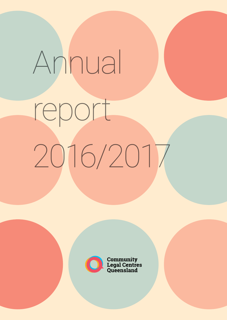## Annual report 2016/2017

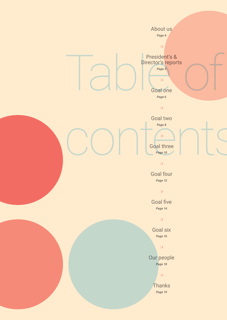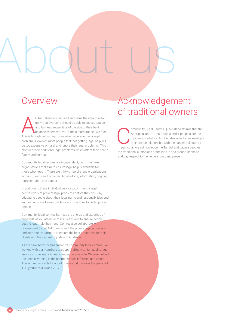#### **Overview**

All Australians understand and value the idea of a 'fair go' – that everyone should be able to access justice and fairness, regardless of the size of their bank balance, where we live, or the circumstances we face. This is brought into sharp focus when a person has a legal problem. However, most people feel that getting legal help will be too expensive or hard, and ignore their legal problems. This often leads to additional legal problems which affect their health, family and homes.

About us

Community legal centres are independent, community-run organisations that aim to ensure legal help is available for those who need it. There are thirty-three of these organisations across Queensland, providing legal advice, information, ongoing representation and support.

In addition to these individual services, community legal centres work to prevent legal problems before they occur by educating people about their legal rights and responsibilities and suggesting ways to improve laws and practices to better protect people.

Community legal centres harness the energy and expertise of hundreds of volunteers across Queensland to ensure people get the legal help they need. Centres also collaborate with government, Legal Aid Queensland, the private legal profession and community partners to ensure the best outcomes for their clients and the system of justice in Australia.

As the peak body for Queensland's community legal centres, we worked with our members to support effective, high quality legal services for as many Queenslanders as possible. We also helped the people working in the centres remain informed and united. This annual report talks about how we did this over the period of 1 July 2016 to 30 June 2017.

#### Acknowledgement of traditional owners

**Community Legal Centres Queensland affirms that the Aboriginal and Torres Strait Islander peoples are the Indigenous inhabitants of Australia and acknowledges their unique relationship with their ancestral country.**<br>In pa Aboriginal and Torres Strait Islander peoples are the Indigenous inhabitants of Australia and acknowledges their unique relationship with their ancestral country. the traditional custodians of the land in and around Brisbane, and pay respect to their elders, past and present.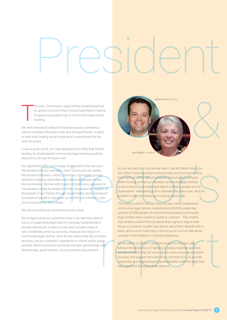# President

T his year, Community Legal Centres Queensland had to spend more time than it would have liked in having to oppose proposed cuts to community legal centre funding.

We were relieved to attend the Brisbane press conference, held by ministers Michaela Cash and George Brandis, in April, to hear that funding would continue at current levels for the next few years.

It was a great result, as it had appeared very likely that federal funding for Queensland's community legal centres would be reduced by almost thirty per cent.

the term dependent of this electric and energy contributed to this decision.<br>
Nother community law peaks,<br>
profession, unions, churches, community law peaks,<br>
this effort could have been more focused and more productive,<br> Our significant effort and energy contributed to this decision. We worked with our members, other community law peaks, the private profession, unions, churches, community groups, domestic violence advocates and concerned people across the community. We met with dozens of politicians, appeared in mainstream media hundreds of times, harnessed the support of thousands of our friends through social media, and empowered hundreds of people to speak for us, and for our members, and (most importantly) their clients.

We are proud that we contributed to this result.

But imagine what we could have done if we had been able to focus on supporting legal help for everyday Queenslanders: provide training for workers in new and complex areas of law, coordinate joined-up services, measure the impact of community legal centres' work for the clients that rely on these services, use our members' experience to inform public policy and law reform processes and build stronger partnerships with philanthropy, governments, courts and other key partners.



As you will see from this annual report, we did these things, but this effort could have been more focused and more productive, if we had not had to spend hundreds of hours advocating to retain funding so that our member community legal centres could continue to provide legal help to ordinary people across Queensland - advocating just to maintain the status quo. And the problem is that the status quo is not good enough.

The reality is that in the last financial year, while Queensland community legal centres helped almost 60,000 people but another 55,000 people who phoned Queensland community legal centres were unable to speak to a lawyer. This means that renters couldn't find out about their rights to stay in their home, a customer couldn't get advice about their dispute with a bank, and no one could help a mum to go to court to talk about custody of the children in a family breakdown.

bank, and no one could help a mum to go to court to talk about<br>these<br>these<br>custody of the children in a family breakdown.<br>Solicy<br>without the distraction of fighting to simply maintain services,<br>we are confident that our wo As we reflect on 2016-17, we look forward to the next year; without the distraction of fighting to simply maintain services, we are confident that our work can be more proactive and clientfocused, and support the work of our member CLCs to provide vulnerable and disadvantaged Queenslanders with the legal help they need and the justice they deserve.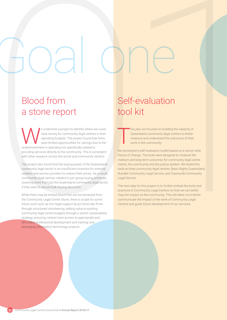#### Blood from a stone report

e undertook a project to identify where we could save money for community legal centres in their operating budgets. The project found that there were limited opportunities for savings due to the underinvestment in spending save money for community legal centres in their operating budgets. The project found that there were limited opportunities for savings due to the providing services directly to the community. This is consistent with other research across the social and community sectors.

Goal one

The project also found that the buying power of the Queensland community legal sector is an insufficient incentive for external retailers and service providers to reduce their prices. As a result, community legal centres needed to join group buying schemes covering more than just the Queensland community legal sector if they were to secure bulk-buying discounts.

Blood from Self-evaluation<br>
a stone report tool kit and a stone report of the self-evaluation<br>  $\left|\bigvee_{\substack{a \text{ is a non-odd, } a \text{ is a non-odd, } a \text{ is a non-odd, } a \text{ is a non-odd, } a \text{ is a non-odd, } a \text{ is a non-odd, } a \text{ is a non-odd, } a \text{ is a non-odd, } a \text{ is a non-odd, } a \text{ is a non-odd, } a \text{$ While there may be limited blood that can be extracted from the Community Legal Centre Stone, there is scope for some future work such as non-legal support by pro bono law firms through structured volunteering; adding value to existing community legal centre budgets through a sector sustainability strategy; ensuring centres have access to appropriate and affordable professional development and training; and leveraging information technology projects.

#### Self-evaluation tool kit

T his year we focused on building the capacity of Queensland community legal centres to better measure and understand the outcomes of their work in the community.

We developed a self-evaluation toolkit based on a sector-wide theory of change. The tools were designed to measure the medium and long-term outcomes for community legal centre clients, the community and the justice system. We tested the tools at three community legal centres: Basic Rights Queensland, Nundah Community Legal Service, and Townsville Community Legal Service.

The next step for this project is to further embed the tools and practices in Community Legal Centres so that we can better map the impact on the community. This will allow us to better communicate the impact of the work of Community Legal Centres and guide future development of our services.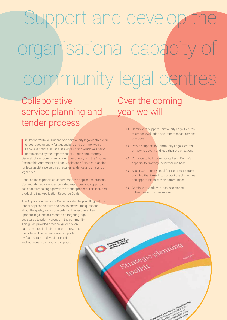# Support and develop the<br>organisational capacity of<br>community legal centres<br>collaborative service planning and year we will<br>tender process<br>service planning and year we will<br>tender process<br>and the contract of the contract of organisational capacity of community legal centres **Collaborative** Over the coming

service planning and tender process

In October 2016, all Queensland community legal centres were<br>encouraged to apply for Queensland and Commonwealth<br>Legal Assistance Service Delivery Funding which was being<br>administered by the Department of Justice and Attor n October 2016, all Queensland community legal centres were encouraged to apply for Queensland and Commonwealth Legal Assistance Service Delivery Funding which was being administered by the Department of Justice and Attorney-Partnership Agreement on Legal Assistance Services, planning for legal assistance services requires evidence and analysis of legal need.

Because these principles underpinned the application process, Community Legal Centres provided resources and support to assist centres to engage with the tender process. This included producing the, 'Application Resource Guide'.

The Application Resource Guide provided help in filling out the tender application form and how to answer the questions about the quality evaluation criteria. The resource drew upon the legal needs research on targeting legal assistance to priority groups in the community. This guide provided practical guidance on each question, including sample answers to the criteria. The resource was supported by face-to-face and webinar training and individual coaching and support.

year we will

- ❍ Continue to support Community Legal Centres to embed evaluation and impact measurement practices
- ❍ Provide support to Community Legal Centres on how to govern and lead their organisations
- O Continue to build Community Legal Centre's capacity to diversify their resource base
- ❍ Assist Community Legal Centres to undertake planning that takes into account the challenges and opportunities of their communities

Community Legal Centres Queensland **Annual Report 2016** 

❍ Continue to work with legal assistance colleagues and organisations.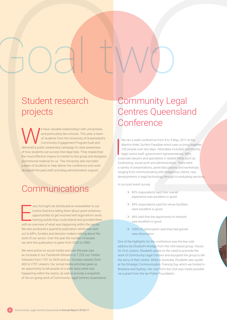#### projects

02Student research e have valuable relationships with universities,<br>
and particularly law schools. This year, a team<br>
of students from the University of Queensland<br>
Community Engagement Program built and<br>
delivered a public awareness campaig and particularly law schools. This year, a team of students from the University of Queensland's Community Engagement Program built and of how students can access free legal help. They researched the most effective means to market to this group and designed promotional material for us. The University also recruited a team of students to help deliver the conference and work alongside the paid staff providing administration support.

Goal two

#### **Communications**

very fortnight we distributed an enewsletter to our<br>Centre Directors telling them about grant schemes<br>opportunities to get involved with legal reform work<br>training events they could attend and provided ther<br>with an overvie very fortnight we distributed an enewsletter to our Centre Directors telling them about grant schemes, opportunities to get involved with legal reform work, training events they could attend and provided them We also produced a quarterly publication which was sent out to MPs, funders and decision makers talking about the work of our sector. Over the year the number of people we sent this publication to grew from 2020 to 2082.

We were active on social media and over the year saw an increase in our Facebook followers to 1,723, our Twitter followers from 1701 to 2435 and our Youtube viewers from 463 to 2701 viewers. Our social media activities gave us an opportunity to tell people on a daily basis what was happening within the sector, as well as provide a snapshot of the on-going work of Community Legal Centres Queensland.

#### Community Legal Centres Queensland Conference

**I** We ran a state conference from 8 to 9 May, 2017 at the Mantra Hotel, Surfers Paradise which saw us bring together 220 people over two days. Attendees included; community legal centre staff, government representatives, MPs, corporate lawyers and specialists in related fields such as fundraising, social work and administration. There were a variety of presentations, panel discussions and workshops ranging from communicating with Indigenous clients, new developments in legal technology through to evaluating services.

In our post event survey:

- ❍ 85% respondents said their overall experience was excellent or good.
- ❍ 89% respondents said the venue facilities were excellent or good.
- ❍ 86% said that the opportunity to network was excellent or good.
- ❍ 100% of participants said they had gained new information.

One of the highlights for the conference was the key note address by Elizabeth Alredge from the USA based group, Voices for Civil Justice. Elizabeth spoke on the need to promote the work of Community Legal Centres and equipped the group to tell the story of their centre. While in Australia, Elizabeth also spoke at the Strategic Communication Training Day which we hosted in Brisbane and Sydney. Her visit from the USA was made possible via a grant from the Ian Potter Foundation.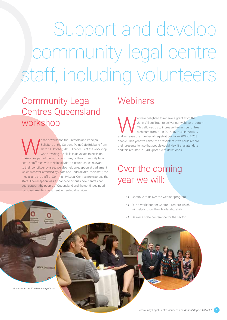# **COMMUNITY Legal**<br> **COMMUNITY Legal**<br> **COMMUNITY Legal**<br> **COMMUNITY Legal**<br> **COMMUNITY Legal**<br> **COMMUNITY Legal**<br> **COMMUNITY Legal**<br> **COMMUNITY Legal**<br> **COMMUNITY Legal**<br> **COMMUNITY Legal**<br> **COMMUNITY Legal**<br> **COMPUTE TO A** Support and develop community legal centre staff, including volunteers

#### Centres Queensland workshop

e ran a workshop for Directors and Principal<br>
Solicitors at the Gardens Point Café Brisbane from<br>
10 to 11 October, 2016. The focus of the workshop<br>
makers. As part of the workshop, many of the community legal<br>
1991 Solicitors at the Gardens Point Café Brisbane from 10 to 11 October, 2016. The focus of the workshop was providing the skills to advocate to decision centre staff met with their local MP to discuss issues relevant to their constituency area. We also held a reception at parliament which was well attended by State and Federal MPs, their staff, the media, and the staff of Community Legal Centres from across the state. The reception was a chance to discuss how centres can best support the people of Queensland and the continued need for governmental investment in free legal services.

#### **Webinars**

e were delighted to receive a grant from the<br>
John Villiers Trust to deliver our webinar prog<br>
This allowed us to increase the number of fre<br>
webinars from 21 in 2015/16 to 38 in 2016/17<br>
and increase the number of registr John Villiers Trust to deliver our webinar program. This allowed us to increase the number of free webinars from 21 in 2015/16 to 38 in 2016/17 people. This year we asked the presenters if we could record their presentation so that people could view it at a later date and this resulted in 1,408 post event downloads.

#### Over the coming year we will:

- ❍ Continue to deliver the webinar program
- ❍ Run a workshop for Centre Directors which will help to grow their leadership skills
- ❍ Deliver a state conference for the sector.

**WWW.commun** 

*Photos from the 2016 Leadership Forum*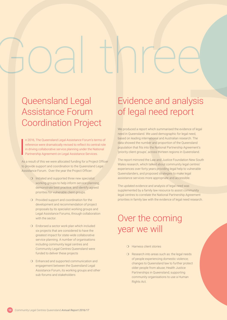# Queensland Legal Evidence and analysis<br>
Assistance Forum Coordination Project<br>
Coordination Project<br>
Coordination Project<br>
Coordination Project<br>
Coordination Project<br>
Coordination Project<br>
Coordination Project<br>
Coordinatio Goal three

#### Queensland Legal Assistance Forum Coordination Project

I n 2016, The Queensland Legal Assistance Forum's terms of reference were dramatically revised to reflect its central role in driving collaborative service planning under the National Partnership Agreement on Legal Assistance Services.

As a result of this we were allocated funding for a Project Officer to provide support and coordination to the Queensland Legal Assistance Forum. Over the year the Project Officer:

- ❍ Initiated and supported three new specialist working groups to help inform service planning, demonstrate best practice, and identify agreed priorities for vulnerable client groups.
- ❍ Provided support and coordination for the development and recommendation of project proposals by its specialist working groups and Legal Assistance Forums, through collaboration with the sector.
- ❍ Endorsed a sector work plan which included six projects that are considered to have the greatest impact for state-wide collaborative service planning. A number of organisations including community legal centres and Community Legal Centres Queensland were funded to deliver these projects
- ❍ Enhanced and supported communication and engagement between the Queensland Legal Assistance Forum, its working groups and other sub-forums and stakeholders

#### Evidence and analysis of legal need report

We produced a report which summarised the evidence of legal need in Queensland. We used demographic for legal need, based on leading international and Australian research. The data showed the number and proportion of the Queensland population that fits into the National Partnership Agreement's 'priority client groups', across thirteen regions in Queensland.

The report mirrored the Law and Justice Foundation New South Wales research, which talked about community legal centres' experiences over forty years providing legal help to vulnerable Queenslanders, and proposed strategies to make legal assistance services more appropriate and accessible.

The updated evidence and analysis of legal need was supplemented by a family law resource to assist community legal centres to correlate the National Partnership Agreement priorities in family law with the evidence of legal need research.

#### Over the coming year we will

- ❍ Harness client stories
- ❍ Research into areas such as: the legal needs of people experiencing domestic violence; changes to Queensland law to further protect older people from abuse; Health Justice Partnerships in Queensland; supporting community organisations to use a Human Rights Act.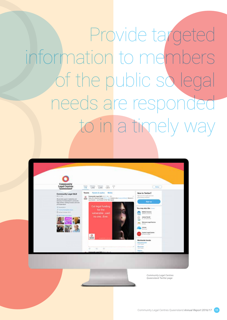# 03 Provide targeted<br>information to members<br>of the public so legal information to members of the public so legal needs are responded to in a timely way

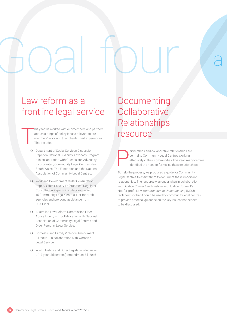#### Law reform as a frontline legal service

Goal four

- T his year we worked with our members and partners across a range of policy issues relevant to our members' work and their clients' lived experiences. This included:
	- ❍ Department of Social Services Discussion Paper on National Disability Advocacy Program – in collaboration with Queensland Advocacy Incorporated, Community Legal Centres New South Wales, The Federation and the National Association of Community Legal Centres.
	- ❍ Work and Development Order Consultation Paper / State Penalty Enforcement Regulator Consultation Paper – in collaboration with 15 Community Legal Centres, Not-for-profit agencies and pro bono assistance from DLA Piper
	- ❍ Australian Law Reform Commission Elder Abuse Inquiry – in collaboration with National Association of Community Legal Centres and Older Persons' Legal Service.
	- ❍ Domestic and Family Violence Amendment Bill 2016 – in collaboration with Women's Legal Service
	- ❍ Youth Justice and Other Legislation (Inclusion of 17 year old persons) Amendment Bill 2016

**Documenting Collaborative** Relationships resource

artnerships and collaborative relationships are<br>central to Community Legal Centres working<br>effectively in their communities This year, many<br>identified the need to formalise these relationships central to Community Legal Centres working effectively in their communities This year, many centres identified the need to formalise these relationships.

a

Law reform as a<br>
from time legal service Collaborative<br>
from time legal service Collaborative<br>  $\frac{1}{\sqrt{2}}$ <br>  $\frac{1}{\sqrt{2}}$ <br>  $\frac{1}{\sqrt{2}}$ <br>  $\frac{1}{\sqrt{2}}$ <br>  $\frac{1}{\sqrt{2}}$ <br>  $\frac{1}{\sqrt{2}}$ <br>  $\frac{1}{\sqrt{2}}$ <br>  $\frac{1}{\sqrt{2}}$ <br>  $\frac{1}{\sqrt{2}}$ <br> To help the process, we produced a guide for Community Legal Centres to assist them to document these important relationships. The resource was undertaken in collaboration with *Justice Connect* and customised Justice Connect's Not-for-profit Law *Memorandum of Understanding* (MOU) factsheet so that it could be used by community legal centres to provide practical guidance on the key issues that needed to be discussed.

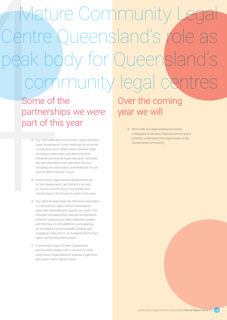## Mature Community I Centre Queensland's role as ody for Queensland's Mature Community legal centres<br>
peak body for Queensland's role as<br>
peak body for Queensland's<br>
community legal centres<br>
some of the<br>
partnerships we were very will<br>
part of this year<br>
and the second contract of the second Some of the partnerships we were Over the coming year we will

❍ Our staff attended Community Legal Education Legal Assistance Forum meetings, to promote cooperation and collaboration between legal service providers who are delivering and initiating community legal education activities. We also attended other specialist forums, including the Information and Referrals Forum and the Best Practice Forum.

part of this year

- ❍ Community Legal Centres Queensland sat on the Queensland Law Society's Access to Justice and Pro Bono Committee and contributed to the Society's work in this area.
- ❍ Our national peak body, the National Association of Community Legal Centres continued to advocate nationally and support our work. This included overseeing the national accreditation scheme, replacing our data collection system with the new CLASS platform, campaigning for increased Commonwealth funding, and engaging in law reform on fundamental human rights and social justice issues.
- ❍ Community Legal Centres Queensland also worked closely with a number of other community organisations, statutory agencies and government departments.

❍ Work with our legal assistance sector colleagues to develop regional service plans to better understand the legal needs of the Queensland community.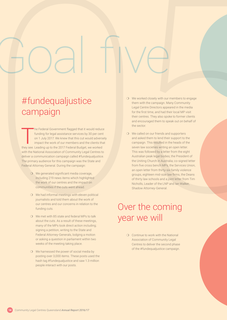#### #fundequaljustice campaign

Goal five

The Federal Government flagged that it would reduction funding for legal assistance services by 30 per cent on 1 July 2017. We knew that this cut would advers impact the work of our members and the clients the they see. Le he Federal Government flagged that it would reduce funding for legal assistance services by 30 per cent on 1 July 2017. We knew that this cut would adversely impact the work of our members and the clients that with the National Association of Community Legal Centres to deliver a communication campaign called #fundequaljustice. The primary audience for this campaign was the State and Federal Attorney General. During the campaign:

- $\bigcirc$  We generated significant media coverage, including 219 news items which highlighted the work of our centres and the impact on communities if the cuts went ahead.
- ❍ We had informal meetings with eleven political journalists and told them about the work of our centres and our concerns in relation to the funding cuts.
- ❍ We met with 85 state and federal MPs to talk about the cuts. As a result of these meetings, many of the MPs took direct action including; signing a petition, writing to the State and Federal Attorney-Generals, lodging a motion or asking a question in parliament within two weeks of the meeting taking place.
- ❍ We harnessed the power of social media by posting over 3,000 items. These posts used the hash tag #fundequaljustice and saw 1.3 million people interact with our posts.
- ❍ We worked closely with our members to engage them with the campaign. Many Community Legal Centre Directors appeared in the media for the first time, and had their local MP visit their centres. They also spoke to former clients and encouraged them to speak out on behalf of the sector.
- 05 ❍ We called on our friends and supporters and asked them to lend their support to the campaign. This resulted in the heads of the seven law societies writing an open letter. This was followed by a letter from the eight Australian peak legal bodies; the President of the Uniting Church in Australia; co-signed letter from five cross bench MPs; the Services Union, an open letter from thirty-six family violence groups, eighteen mid-size law firms, the Deans of thirty law schools and a joint letter from Tim Nicholls, Leader of the LNP and Ian Walker, Shadow Attorney-General.

#### Over the coming year we will

❍ Continue to work with the National Association of Community Legal Centres to deliver the second phase of the #fundequaljustice campaign.

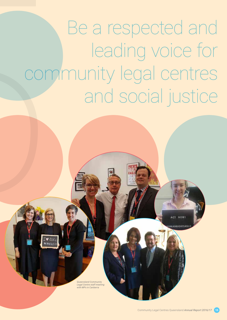### Be a respected and<br>
leading voice for<br>
community legal centres leading voice for and social justice

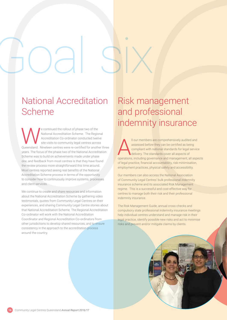#### National Accreditation Scheme

Goal six

National Accreditation<br>
Scheme and professional independent and professional independent and professional<br>  $\sum_{\substack{n \text{ times } n \text{ times } n \text{ times } n \text{ times } n \text{ times } n \text{ times } n \text{ times } n \text{ times } n \text{ times } n \text{ times } n \text{ times } n \text{ times } n \text{ times } n \text{ times } n \text{ times } n \text{ times } n \text{ times } n \text{ times$ **Mational Accreditation Scheme.** The Regional Accreditation Co-ordinator conducted twelve site visits to community legal centres across Queensland. Nineteen centres were re-certified for another three National Accreditation Scheme. The Regional Accreditation Co-ordinator conducted twelve site visits to community legal centres across years. The focus of the phase two of the National Accreditation Scheme was to build on achievements made under phase one, and feedback from most centres is that they have found the review process more straightforward this time around. Most centres reported seeing real benefits of the National Accreditation Scheme process in terms of the opportunity to consider how to continuously improve systems, processes and client services.

We continue to create and share resources and information about the National Accreditation Scheme by gathering video testimonials, quotes from Community Legal Centres on their experiences, and sharing Community Legal Centre stories about that National Accreditation Scheme. The Regional Accreditation Co-ordinator will work with the National Accreditation Coordinator and Regional Accreditation Co-ordinators from other jurisdictions to develop shared resources, and to ensure consistency in the approach to the accreditation process around the country.

#### Risk management and professional indemnity insurance

II our members are comprehensively audited and assessed before they can be certified as being compliant with national standards for legal service delivery. The standards cover all aspects of operations, including governance and management, all aspects of legal practice, financial accountability, risk minimisation, employment practices, physical safety and accessibility.

Our members can also access the National Association of Community Legal Centres' bulk professional indemnity insurance scheme and its associated Risk Management regime. This is a successful and cost-effective way for centres to manage both their risk and their professional indemnity insurance.

The Risk Management Guide, annual cross-checks and compulsory state professional indemnity insurance meetings help individual centres understand and manage risk in their legal practice, identify possible new risks and act to minimise risks and prevent and/or mitigate claims by clients.



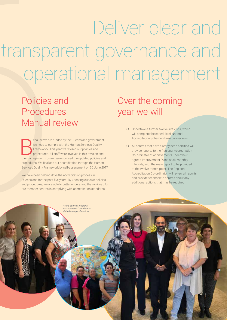# DOCIDES &<br>
Proceedur<br>
Manual r<br>
Supering the condition of the past of the parties of the management commit<br>
Supering the condition of the past final<br>
Supering the management commit<br>
Supering the management of the past fina Deliver clear and transparent governance and operational management

#### Policies and Procedures Manual review

Exame we are funded by the Queensland government,<br>
we need to comply with the Human Services Quality<br>
Framework. This year we revised our policies and<br>
procedures. All staff were involved in this revision and<br>
the manageme ecause we are funded by the Queensland government, we need to comply with the Human Services Quality Framework. This year we revised our policies and procedures. All staff were involved in this revision and procedures. We finalised our accreditation through the Human Services Quality Framework by self-assessment on 30 June 2017.

We have been helping drive the accreditation process in Queensland for the past five years. By updating our own policies and procedures, we are able to better understand the workload for our member centres in complying with accreditation standards.

> *Penny Sullivan, Regional Accreditation Co-ordinator visited a range of centres.*

#### Over the coming year we will

- ❍ Undertake a further twelve site visits, which will complete the schedule of National Accreditation Scheme Phase two reviews.
- ❍ All centres that have already been certified will provide reports to the Regional Accreditation Co-ordinator of achievements under their agreed Improvement Plans at six monthly intervals, with the main report to be provided at the twelve month point. The Regional Accreditation Co-ordinator will review all reports and provide feedback to centres about any additional actions that may be required.

Community Legal Centres Queensland *Annual Report 2016/17* **17**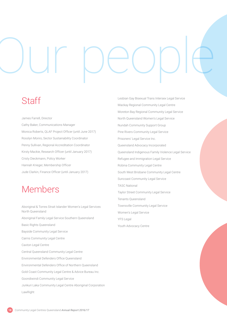Our people

#### **Staff**

James Farrell, Director Cathy Baker, Communications Manager Monica Roberts, QLAF Project Officer (until June 2017) Rosslyn Monro, Sector Sustainability Coordinator Penny Sullivan, Regional Accreditation Coordinator Kirsty Mackie, Research Officer (until January 2017) Cristy Dieckmann, Policy Worker Hannah Krieger, Membership Officer Jude Clarkin, Finance Officer (until January 2017)

#### Members

Aboriginal & Torres Strait Islander Women's Legal Services North Queensland Aboriginal Family Legal Service Southern Queensland Basic Rights Queensland Bayside Community Legal Service Cairns Community Legal Centre Caxton Legal Centre Central Queensland Community Legal Centre Environmental Defenders Office Queensland Environmental Defenders Office of Northern Queensland Gold Coast Community Legal Centre & Advice Bureau Inc. Goondiwindi Community Legal Service Junkuri Laka Community Legal Centre Aboriginal Corporation LawRight

Lesbian Gay Bisexual Trans Intersex Legal Service Mackay Regional Community Legal Centre Moreton Bay Regional Community Legal Service North Queensland Women's Legal Service Nundah Community Support Group Pine Rivers Community Legal Service Prisoners' Legal Service Inc. Queensland Advocacy Incorporated Queensland Indigenous Family Violence Legal Service Refugee and Immigration Legal Service Robina Community Legal Centre South West Brisbane Community Legal Centre Suncoast Community Legal Service TASC National Taylor Street Community Legal Service Tenants Queensland Townsville Community Legal Service Women's Legal Service YFS Legal

Youth Advocacy Centre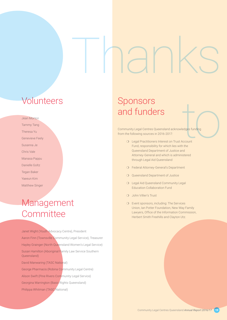# Our people Thanks

#### Volunteers

Jean Morton

Tammy Tang Theresa Yu Genevieve Feely Susanna Je Chris Vale Manasa Pappu Danielle Goltz Tegan Baker Yaeeun Kim Matthew Singer

#### Management **Committee**

Janet Wight (Youth Advocacy Centre), President Aaron Finn (Townsville Community Legal Service), Treasurer Hayley Grainger (North Queensland Women's Legal Service) Susan Hamilton (Aboriginal Family Law Service Southern Queensland) David Manwaring (TASC National) George Pharmacis (Robina Community Legal Centre) Alison Swift (Pine Rivers Community Legal Service) Georgina Warrington (Basic Rights Queensland) Philippa Whitman (TASC National)

#### Sponsors and funders

Edges funding Community Legal Centres Queensland acknowledges funding from the following sources in 2016-2017:

- ❍ Legal Practitioners Interest on Trust Account Fund, responsibility for which lies with the Queensland Department of Justice and Attorney-General and which is administered through Legal Aid Queensland
- ❍ Federal Attorney-General's Department
- ❍ Queensland Department of Justice
- ❍ Legal Aid Queensland Community Legal Education Collaboration Fund
- ❍ John Villier's Trust
- ❍ Event sponsors, including: The Services Union, Ian Potter Foundation, New Way Family Lawyers, Office of the Information Commission, Herbert Smith Freehills and Clayton Utz.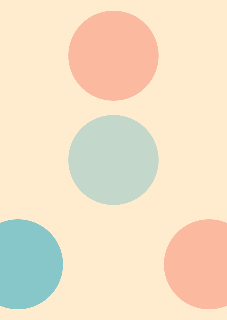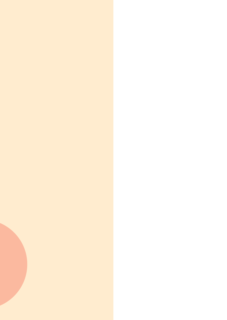